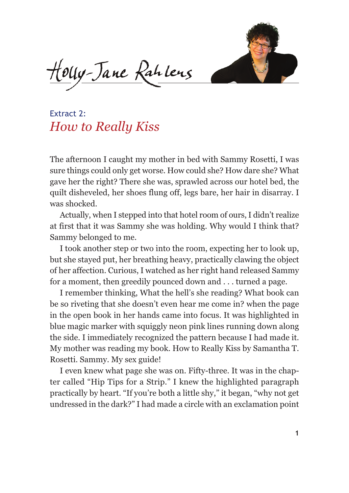

Houy-Jane Rahlens

Extract 2: *How to Really Kiss*

The afternoon I caught my mother in bed with Sammy Rosetti, I was sure things could only get worse. How could she? How dare she? What gave her the right? There she was, sprawled across our hotel bed, the quilt disheveled, her shoes flung off, legs bare, her hair in disarray. I was shocked.

Actually, when I stepped into that hotel room of ours, I didn't realize at first that it was Sammy she was holding. Why would I think that? Sammy belonged to me.

I took another step or two into the room, expecting her to look up, but she stayed put, her breathing heavy, practically clawing the object of her affection. Curious, I watched as her right hand released Sammy for a moment, then greedily pounced down and . . . turned a page.

I remember thinking, What the hell's she reading? What book can be so riveting that she doesn't even hear me come in? when the page in the open book in her hands came into focus. It was highlighted in blue magic marker with squiggly neon pink lines running down along the side. I immediately recognized the pattern because I had made it. My mother was reading my book. How to Really Kiss by Samantha T. Rosetti. Sammy. My sex guide!

I even knew what page she was on. Fifty-three. It was in the chapter called "Hip Tips for a Strip." I knew the highlighted paragraph practically by heart. "If you're both a little shy," it began, "why not get undressed in the dark?" I had made a circle with an exclamation point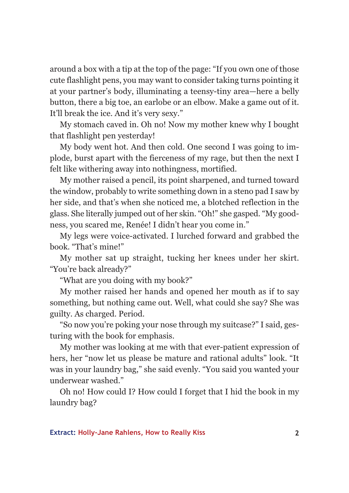around a box with a tip at the top of the page: "If you own one of those cute flashlight pens, you may want to consider taking turns pointing it at your partner's body, illuminating a teensy-tiny area—here a belly button, there a big toe, an earlobe or an elbow. Make a game out of it. It'll break the ice. And it's very sexy."

My stomach caved in. Oh no! Now my mother knew why I bought that flashlight pen yesterday!

My body went hot. And then cold. One second I was going to implode, burst apart with the fierceness of my rage, but then the next I felt like withering away into nothingness, mortified.

My mother raised a pencil, its point sharpened, and turned toward the window, probably to write something down in a steno pad I saw by her side, and that's when she noticed me, a blotched reflection in the glass. She literally jumped out of her skin. "Oh!" she gasped. "My goodness, you scared me, Renée! I didn't hear you come in."

My legs were voice-activated. I lurched forward and grabbed the book. "That's mine!"

My mother sat up straight, tucking her knees under her skirt. "You're back already?"

"What are you doing with my book?"

My mother raised her hands and opened her mouth as if to say something, but nothing came out. Well, what could she say? She was guilty. As charged. Period.

"So now you're poking your nose through my suitcase?" I said, gesturing with the book for emphasis.

My mother was looking at me with that ever-patient expression of hers, her "now let us please be mature and rational adults" look. "It was in your laundry bag," she said evenly. "You said you wanted your underwear washed."

Oh no! How could I? How could I forget that I hid the book in my laundry bag?